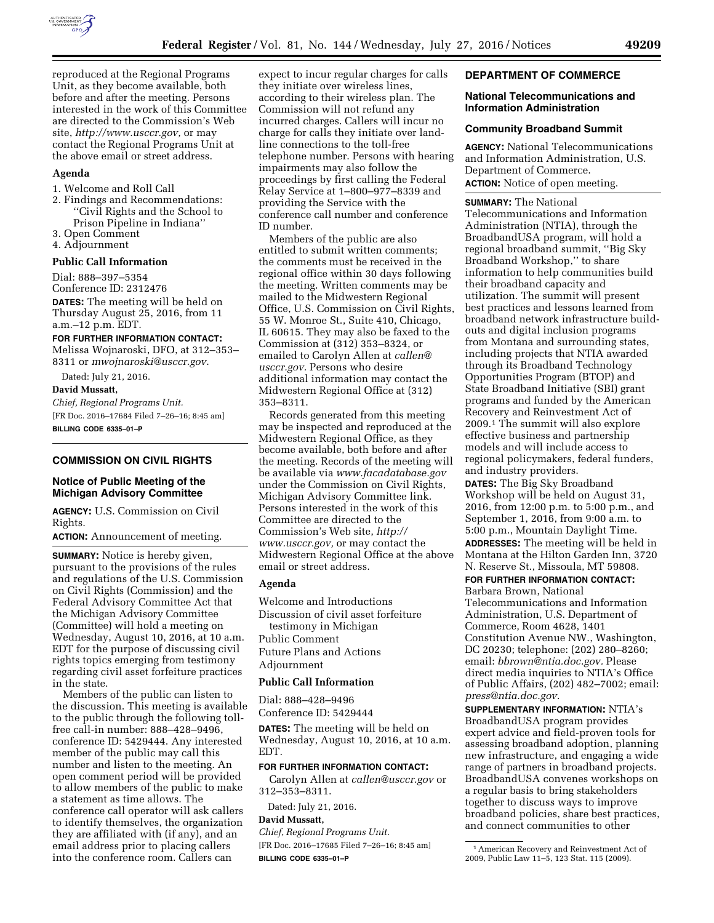

reproduced at the Regional Programs Unit, as they become available, both before and after the meeting. Persons interested in the work of this Committee are directed to the Commission's Web site, *[http://www.usccr.gov,](http://www.usccr.gov)* or may contact the Regional Programs Unit at the above email or street address.

### **Agenda**

- 1. Welcome and Roll Call
- 2. Findings and Recommendations: ''Civil Rights and the School to Prison Pipeline in Indiana''
- 3. Open Comment
- 4. Adjournment

## **Public Call Information**

Dial: 888–397–5354 Conference ID: 2312476

**DATES:** The meeting will be held on Thursday August 25, 2016, from 11 a.m.–12 p.m. EDT.

### **FOR FURTHER INFORMATION CONTACT:**

Melissa Wojnaroski, DFO, at 312–353– 8311 or *[mwojnaroski@usccr.gov](mailto:mwojnaroski@usccr.gov)*.

Dated: July 21, 2016.

## **David Mussatt,**

*Chief, Regional Programs Unit.*  [FR Doc. 2016–17684 Filed 7–26–16; 8:45 am] **BILLING CODE 6335–01–P** 

### **COMMISSION ON CIVIL RIGHTS**

# **Notice of Public Meeting of the Michigan Advisory Committee**

**AGENCY:** U.S. Commission on Civil Rights.

**ACTION:** Announcement of meeting.

**SUMMARY:** Notice is hereby given, pursuant to the provisions of the rules and regulations of the U.S. Commission on Civil Rights (Commission) and the Federal Advisory Committee Act that the Michigan Advisory Committee (Committee) will hold a meeting on Wednesday, August 10, 2016, at 10 a.m. EDT for the purpose of discussing civil rights topics emerging from testimony regarding civil asset forfeiture practices in the state.

Members of the public can listen to the discussion. This meeting is available to the public through the following tollfree call-in number: 888–428–9496, conference ID: 5429444. Any interested member of the public may call this number and listen to the meeting. An open comment period will be provided to allow members of the public to make a statement as time allows. The conference call operator will ask callers to identify themselves, the organization they are affiliated with (if any), and an email address prior to placing callers into the conference room. Callers can

expect to incur regular charges for calls they initiate over wireless lines, according to their wireless plan. The Commission will not refund any incurred charges. Callers will incur no charge for calls they initiate over landline connections to the toll-free telephone number. Persons with hearing impairments may also follow the proceedings by first calling the Federal Relay Service at 1–800–977–8339 and providing the Service with the conference call number and conference ID number.

Members of the public are also entitled to submit written comments; the comments must be received in the regional office within 30 days following the meeting. Written comments may be mailed to the Midwestern Regional Office, U.S. Commission on Civil Rights, 55 W. Monroe St., Suite 410, Chicago, IL 60615. They may also be faxed to the Commission at (312) 353–8324, or emailed to Carolyn Allen at *[callen@](mailto:callen@usccr.gov) [usccr.gov.](mailto:callen@usccr.gov)* Persons who desire additional information may contact the Midwestern Regional Office at (312) 353–8311.

Records generated from this meeting may be inspected and reproduced at the Midwestern Regional Office, as they become available, both before and after the meeting. Records of the meeting will be available via *[www.facadatabase.gov](http://www.facadatabase.gov)*  under the Commission on Civil Rights, Michigan Advisory Committee link. Persons interested in the work of this Committee are directed to the Commission's Web site, *[http://](http://www.usccr.gov) [www.usccr.gov,](http://www.usccr.gov)* or may contact the Midwestern Regional Office at the above email or street address.

## **Agenda**

Welcome and Introductions Discussion of civil asset forfeiture testimony in Michigan Public Comment Future Plans and Actions Adjournment

### **Public Call Information**

Dial: 888–428–9496

Conference ID: 5429444

**DATES:** The meeting will be held on Wednesday, August 10, 2016, at 10 a.m. EDT.

### **FOR FURTHER INFORMATION CONTACT:**

Carolyn Allen at *[callen@usccr.gov](mailto:callen@usccr.gov)* or 312–353–8311.

Dated: July 21, 2016.

# **David Mussatt,**

*Chief, Regional Programs Unit.*  [FR Doc. 2016–17685 Filed 7–26–16; 8:45 am]

**BILLING CODE 6335–01–P** 

### **DEPARTMENT OF COMMERCE**

### **National Telecommunications and Information Administration**

### **Community Broadband Summit**

**AGENCY:** National Telecommunications and Information Administration, U.S. Department of Commerce. **ACTION:** Notice of open meeting.

**SUMMARY:** The National Telecommunications and Information Administration (NTIA), through the BroadbandUSA program, will hold a regional broadband summit, ''Big Sky Broadband Workshop,'' to share information to help communities build their broadband capacity and utilization. The summit will present best practices and lessons learned from broadband network infrastructure buildouts and digital inclusion programs from Montana and surrounding states, including projects that NTIA awarded through its Broadband Technology Opportunities Program (BTOP) and State Broadband Initiative (SBI) grant programs and funded by the American Recovery and Reinvestment Act of 2009.1 The summit will also explore effective business and partnership models and will include access to regional policymakers, federal funders, and industry providers.

**DATES:** The Big Sky Broadband Workshop will be held on August 31, 2016, from 12:00 p.m. to 5:00 p.m., and September 1, 2016, from 9:00 a.m. to 5:00 p.m., Mountain Daylight Time. **ADDRESSES:** The meeting will be held in Montana at the Hilton Garden Inn, 3720 N. Reserve St., Missoula, MT 59808.

# **FOR FURTHER INFORMATION CONTACT:**

Barbara Brown, National Telecommunications and Information Administration, U.S. Department of Commerce, Room 4628, 1401 Constitution Avenue NW., Washington, DC 20230; telephone: (202) 280–8260; email: *[bbrown@ntia.doc.gov.](mailto:bbrown@ntia.doc.gov)* Please direct media inquiries to NTIA's Office of Public Affairs, (202) 482–7002; email: *[press@ntia.doc.gov.](mailto:press@ntia.doc.gov)* 

**SUPPLEMENTARY INFORMATION:** NTIA's BroadbandUSA program provides expert advice and field-proven tools for assessing broadband adoption, planning new infrastructure, and engaging a wide range of partners in broadband projects. BroadbandUSA convenes workshops on a regular basis to bring stakeholders together to discuss ways to improve broadband policies, share best practices, and connect communities to other

<sup>1</sup>American Recovery and Reinvestment Act of 2009, Public Law 11–5, 123 Stat. 115 (2009).